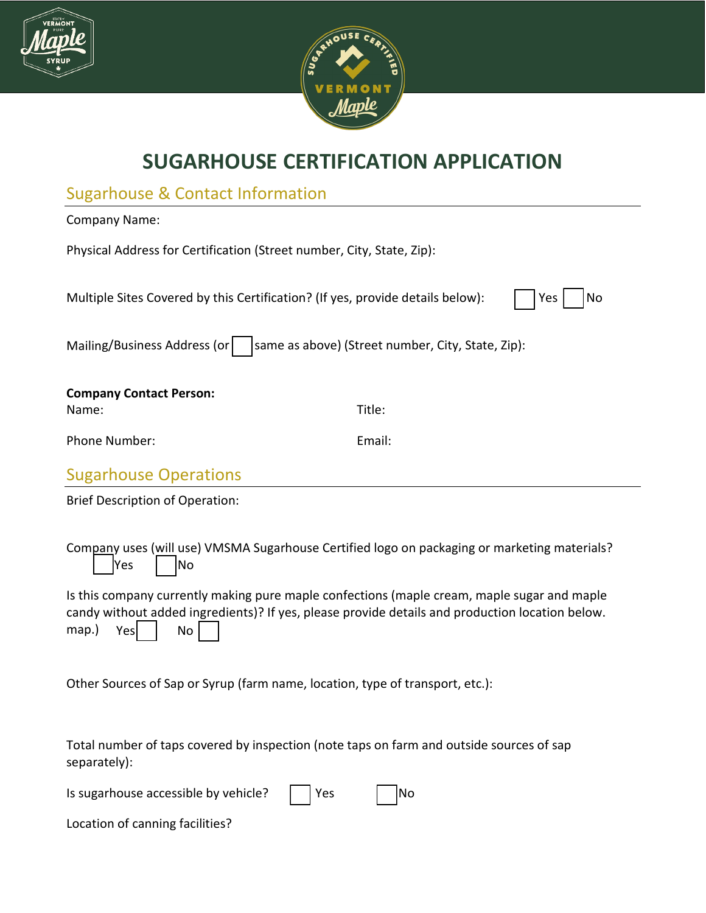



## **SUGARHOUSE CERTIFICATION APPLICATION**

| <b>Sugarhouse &amp; Contact Information</b>                                                 |        |  |  |
|---------------------------------------------------------------------------------------------|--------|--|--|
| <b>Company Name:</b>                                                                        |        |  |  |
| Physical Address for Certification (Street number, City, State, Zip):                       |        |  |  |
| Multiple Sites Covered by this Certification? (If yes, provide details below):<br>Yes<br>No |        |  |  |
| Mailing/Business Address (or<br>same as above) (Street number, City, State, Zip):           |        |  |  |
| <b>Company Contact Person:</b>                                                              |        |  |  |
| Name:                                                                                       | Title: |  |  |
| Phone Number:                                                                               | Email: |  |  |
| <b>Sugarhouse Operations</b>                                                                |        |  |  |
| <b>Brief Description of Operation:</b>                                                      |        |  |  |
|                                                                                             |        |  |  |

Company uses (will use) VMSMA Sugarhouse Certified logo on packaging or marketing materials?  $\sqrt{Y}$ es |  $\sqrt{N}$ o

Is this company currently making pure maple confections (maple cream, maple sugar and maple candy without added ingredients)? If yes, please provide details and production location below. map.)  $Yes$  | No

Other Sources of Sap or Syrup (farm name, location, type of transport, etc.):

Total number of taps covered by inspection (note taps on farm and outside sources of sap separately):

| Is sugarhouse accessible by vehicle? $\Box$ Yes | $\Box$ No |
|-------------------------------------------------|-----------|
|                                                 |           |

Location of canning facilities?